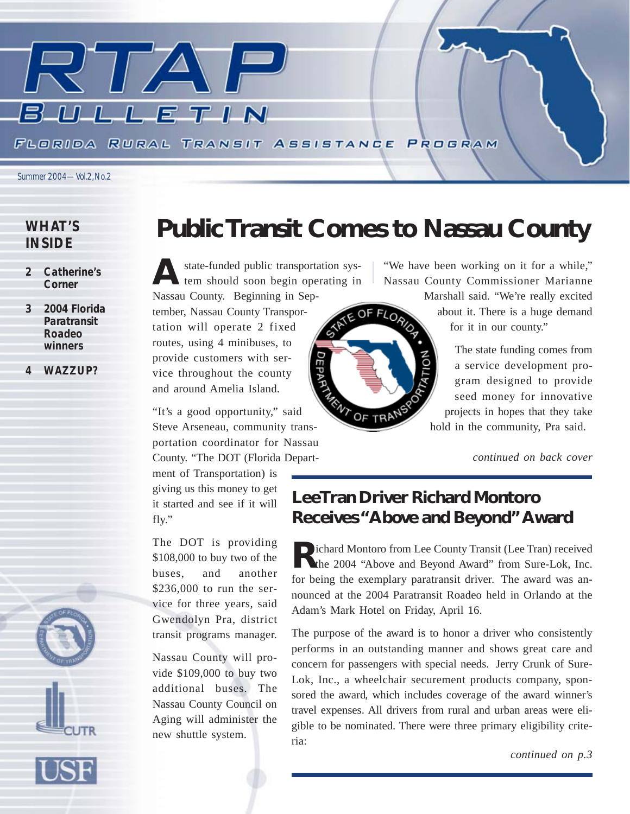

*Summer 2004—Vol.2, No.2*

# *WHAT'S INSIDE*

- *2 Catherine's Corner*
- *3 2004 Florida Paratransit Roadeo winners*
- *4 WAZZUP?*

# **Public Transit Comes to Nassau County**

A state-funded public transportation system should soon begin operating in Nassau County. Beginning in Sep-

tember, Nassau County Transportation will operate 2 fixed routes, using 4 minibuses, to provide customers with service throughout the county and around Amelia Island.

"It's a good opportunity," said Steve Arseneau, community transportation coordinator for Nassau County. "The DOT (Florida Depart-

ment of Transportation) is giving us this money to get it started and see if it will fly."

The DOT is providing \$108,000 to buy two of the buses, and another \$236,000 to run the service for three years, said Gwendolyn Pra, district transit programs manager.

Nassau County will provide \$109,000 to buy two additional buses. The Nassau County Council on Aging will administer the new shuttle system.

"We have been working on it for a while," Nassau County Commissioner Marianne Marshall said. "We're really excited

> about it. There is a huge demand for it in our county."

The state funding comes from a service development program designed to provide seed money for innovative projects in hopes that they take hold in the community, Pra said.

*continued on back cover*

# **LeeTran Driver Richard Montoro Receives "Above and Beyond" Award**

**Richard Montoro from Lee County Transit (Lee Tran) received** the 2004 "Above and Beyond Award" from Sure-Lok, Inc. for being the exemplary paratransit driver. The award was announced at the 2004 Paratransit Roadeo held in Orlando at the Adam's Mark Hotel on Friday, April 16.

The purpose of the award is to honor a driver who consistently performs in an outstanding manner and shows great care and concern for passengers with special needs. Jerry Crunk of Sure-Lok, Inc., a wheelchair securement products company, sponsored the award, which includes coverage of the award winner's travel expenses. All drivers from rural and urban areas were eligible to be nominated. There were three primary eligibility criteria:

*continued on p.3*



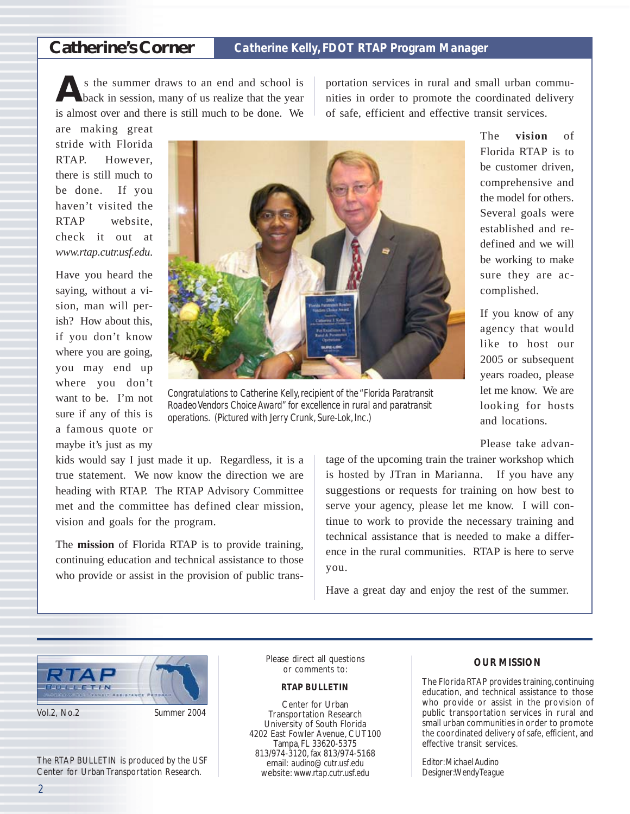# **Catherine's Corner** *Catherine Kelly, FDOT RTAP Program Manager*

**A**s the summer draws to an end and school is back in session, many of us realize that the year is almost over and there is still much to be done. We

portation services in rural and small urban communities in order to promote the coordinated delivery of safe, efficient and effective transit services.

are making great stride with Florida RTAP. However, there is still much to be done. If you haven't visited the RTAP website, check it out at *www.rtap.cutr.usf.edu*.

Have you heard the saying, without a vision, man will perish? How about this, if you don't know where you are going, you may end up where you don't want to be. I'm not sure if any of this is a famous quote or maybe it's just as my



*Congratulations to Catherine Kelly, recipient of the "Florida Paratransit Roadeo Vendors Choice Award" for excellence in rural and paratransit operations. (Pictured with Jerry Crunk, Sure-Lok, Inc.)*

kids would say I just made it up. Regardless, it is a true statement. We now know the direction we are heading with RTAP. The RTAP Advisory Committee met and the committee has defined clear mission, vision and goals for the program.

The **mission** of Florida RTAP is to provide training, continuing education and technical assistance to those who provide or assist in the provision of public trans-

The **vision** of Florida RTAP is to be customer driven, comprehensive and the model for others. Several goals were established and redefined and we will be working to make sure they are accomplished.

If you know of any agency that would like to host our 2005 or subsequent years roadeo, please let me know. We are looking for hosts and locations.

Please take advan-

tage of the upcoming train the trainer workshop which is hosted by JTran in Marianna. If you have any suggestions or requests for training on how best to serve your agency, please let me know. I will continue to work to provide the necessary training and technical assistance that is needed to make a difference in the rural communities. RTAP is here to serve you.

Have a great day and enjoy the rest of the summer.



The RTAP BULLETIN is produced by the USF Center for Urban Transportation Research.

Please direct all questions or comments to:

### *RTAP BULLETIN*

Center for Urban Transportation Research University of South Florida 4202 East Fowler Avenue, CUT100 Tampa, FL 33620-5375 813/974-3120, fax 813/974-5168 email: *audino@cutr.usf.edu* website: *www.rtap.cutr.usf.edu*

#### *OUR MISSION*

The Florida RTAP provides training, continuing education, and technical assistance to those who provide or assist in the provision of public transportation services in rural and small urban communities in order to promote the coordinated delivery of safe, efficient, and effective transit services.

*Editor: Michael Audino Designer: Wendy Teague*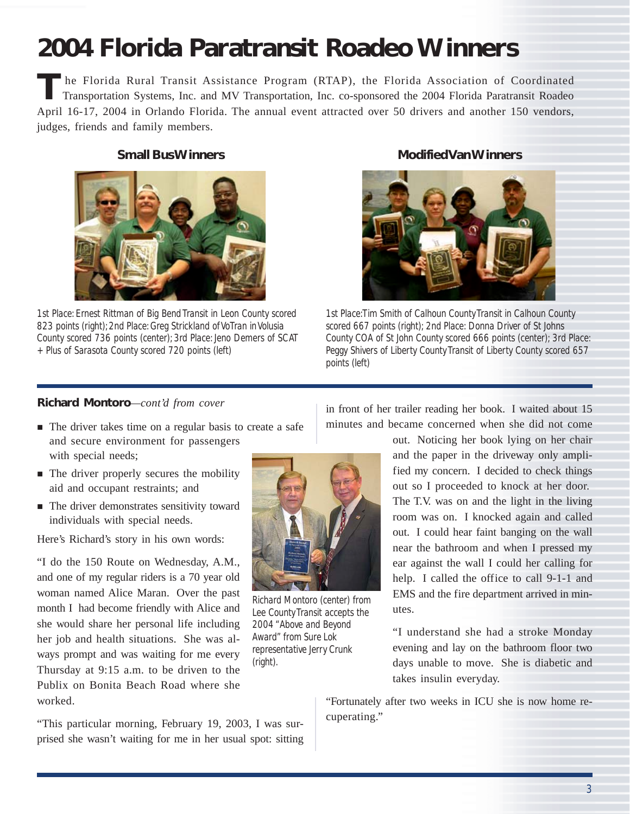# **2004 Florida Paratransit Roadeo Winners**

The Florida Rural Transit Assistance Program (RTAP), the Florida Association of Coordinated<br>Transportation Systems, Inc. and MV Transportation, Inc. co-sponsored the 2004 Florida Paratransit Roadeo April 16-17, 2004 in Orlando Florida. The annual event attracted over 50 drivers and another 150 vendors, judges, friends and family members.



*1st Place: Ernest Rittman of Big Bend Transit in Leon County scored 823 points (right); 2nd Place: Greg Strickland of VoTran in Volusia County scored 736 points (center); 3rd Place: Jeno Demers of SCAT + Plus of Sarasota County scored 720 points (left)*

## **Small Bus Winners Modified Van Winners**



*1st Place: Tim Smith of Calhoun County Transit in Calhoun County scored 667 points (right); 2nd Place: Donna Driver of St Johns County COA of St John County scored 666 points (center); 3rd Place: Peggy Shivers of Liberty County Transit of Liberty County scored 657 points (left)*

## **Richard Montoro**—*cont'd from cover* in front of her trailer reading her book. I waited about 15

- ! The driver takes time on a regular basis to create a safe and secure environment for passengers with special needs;
- The driver properly secures the mobility aid and occupant restraints; and
- $\blacksquare$  The driver demonstrates sensitivity toward individuals with special needs.

Here's Richard's story in his own words:

"I do the 150 Route on Wednesday, A.M., and one of my regular riders is a 70 year old woman named Alice Maran. Over the past month I had become friendly with Alice and she would share her personal life including her job and health situations. She was always prompt and was waiting for me every Thursday at 9:15 a.m. to be driven to the Publix on Bonita Beach Road where she worked.

"This particular morning, February 19, 2003, I was surprised she wasn't waiting for me in her usual spot: sitting



*Richard Montoro (center) from Lee County Transit accepts the 2004 "Above and Beyond Award" from Sure Lok representative Jerry Crunk (right).*

minutes and became concerned when she did not come

out. Noticing her book lying on her chair and the paper in the driveway only amplified my concern. I decided to check things out so I proceeded to knock at her door. The T.V. was on and the light in the living room was on. I knocked again and called out. I could hear faint banging on the wall near the bathroom and when I pressed my ear against the wall I could her calling for help. I called the office to call 9-1-1 and EMS and the fire department arrived in minutes.

"I understand she had a stroke Monday evening and lay on the bathroom floor two days unable to move. She is diabetic and takes insulin everyday.

"Fortunately after two weeks in ICU she is now home recuperating."